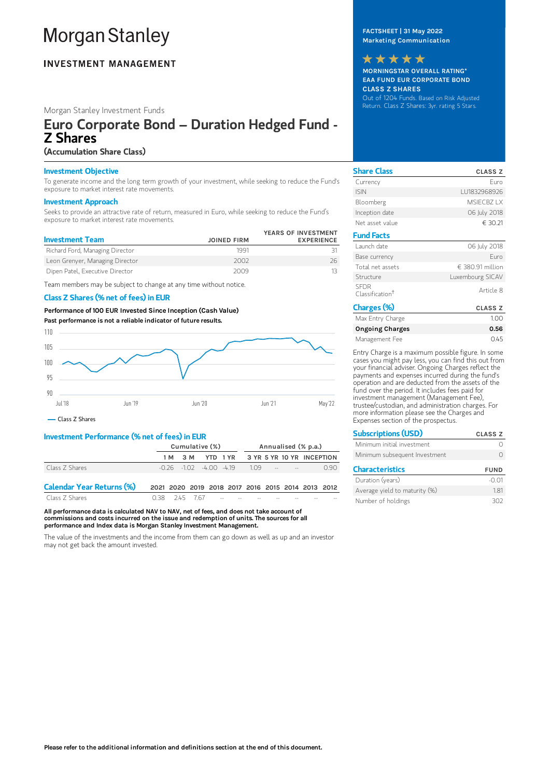# **Morgan Stanley**

## **INVESTMENT MANAGEMENT**

## Morgan Stanley Investment Funds

# Euro Corporate Bond – Duration Hedged Fund - Z Shares

## (Accumulation Share Class)

### Investment Objective

To generate income and the long term growth of your investment, while seeking to reduce the Fund's exposure to market interest rate movements.

#### Investment Approach

Seeks to provide an attractive rate of return, measured in Euro, while seeking to reduce the Fund's exposure to market interest rate movements.

| <b>Investment Team</b>          | <b>JOINED FIRM</b> | YEARS OF INVESTMENT<br><b>EXPERIENCE</b> |
|---------------------------------|--------------------|------------------------------------------|
| Richard Ford, Managing Director | 1991               |                                          |
| Leon Grenyer, Managing Director | 2002               | 26                                       |
| Dipen Patel, Executive Director | 2009               |                                          |

Team members may be subject to change at any time without notice.

## Class Z Shares (% net of fees) in EUR

Performance of 100 EUR Invested Since Inception (Cash Value) Past performance is not a reliable indicator of future results.



Class Z Shares

## Investment Performance (% net of fees) in EUR

|                                  | Cumulative (%)                                    |         |  |                                                  | Annualised (% p.a.) |  |  |  |      |
|----------------------------------|---------------------------------------------------|---------|--|--------------------------------------------------|---------------------|--|--|--|------|
|                                  |                                                   | 1 M 3 M |  | YTD 1YR 3YR 5YR 10YR INCEPTION                   |                     |  |  |  |      |
| Class Z Shares                   |                                                   |         |  | $-0.26$ $-1.02$ $-4.00$ $-4.19$ $1.09$ $-5$ $-7$ |                     |  |  |  | O 90 |
| <b>Calendar Year Returns (%)</b> | 2021 2020 2019 2018 2017 2016 2015 2014 2013 2012 |         |  |                                                  |                     |  |  |  |      |

Class Z Shares 0.38 2.45 7.67 All performance data is calculated NAV to NAV, net of fees, and does not take account of

commissions and costs incurred on the issue and redemption of units. The sources for all performance and Index data is Morgan Stanley Investment Management.

The value of the investments and the income from them can go down as well as up and an investor may not get back the amount invested.

## FACTSHEET | 31 May 2022 Marketing Communication

MORNINGSTAR OVERALL RATING\* EAA FUND EUR CORPORATE BOND CLASS Z SHARES Out of 1204 Funds. Based on Risk Adjusted Return. Class Z Shares: 3yr. rating 5 Stars. \*\*\*\*\*

| <b>Share Class</b>                         | <b>CLASS Z</b>   |
|--------------------------------------------|------------------|
| Currency                                   | Furo             |
| <b>ISIN</b>                                | 111832968926     |
| Bloomberg                                  | MSIFCB7 IX       |
| Inception date                             | 06 July 2018     |
| Net asset value                            | € 30.21          |
| <b>Fund Facts</b>                          |                  |
| Launch date                                | 06 July 2018     |
| Base currency                              | Furo             |
| Total net assets                           | € 380.91 million |
| Structure                                  | Luxembourg SICAV |
| <b>SFDR</b><br>Classification <sup>†</sup> | Article 8        |
| Charges (%)                                | <b>CLASS Z</b>   |
| Max Entry Charge                           | 1.00             |
| <b>Ongoing Charges</b>                     | 0.56             |
| Management Fee                             | 0.45             |

Entry Charge is a maximum possible figure. In some cases you might pay less, you can find this out from your financial adviser. Ongoing Charges reflect the payments and expenses incurred during the fund's operation and are deducted from the assets of the fund over the period. It includes fees paid for investment management (Management Fee), trustee/custodian, and administration charges. For more information please see the Charges and Expenses section of the prospectus.

| <b>Subscriptions (USD)</b>    | <b>CLASS Z</b> |
|-------------------------------|----------------|
| Minimum initial investment    |                |
| Minimum subsequent Investment |                |
| <b>Characteristics</b>        | <b>FUND</b>    |
| Duration (years)              |                |

Average yield to maturity (%) 1.81 Number of holdings 302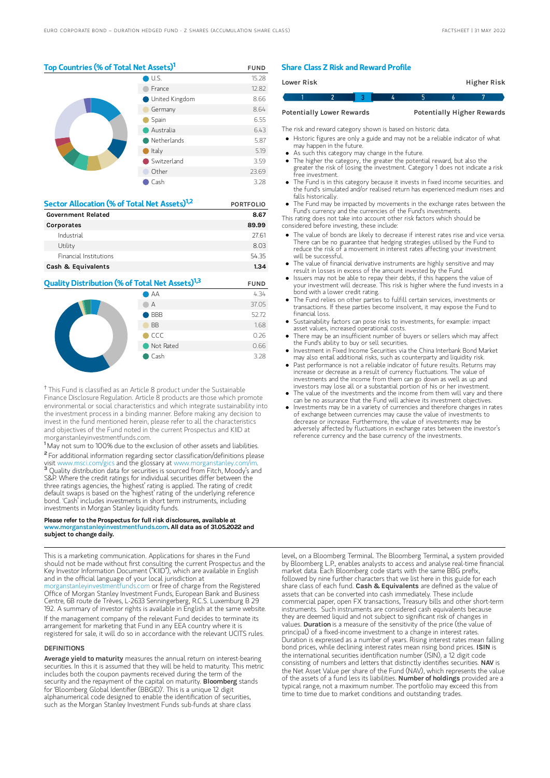## Top Countries (% of Total Net Assets)<sup>1</sup> FUND

|  | U.S.                  | 15.28 |
|--|-----------------------|-------|
|  | France                | 12.82 |
|  | <b>United Kingdom</b> | 8.66  |
|  | Germany               | 8.64  |
|  | Spain                 | 6.55  |
|  | Australia             | 6.43  |
|  | Netherlands           | 5.87  |
|  | Italy                 | 5.19  |
|  | Switzerland           | 3.59  |
|  | Other                 | 23.69 |
|  | Cash                  | 3.28  |

| Sector Allocation (% of Total Net Assets) <sup>1,2</sup> | <b>PORTFOLIO</b> |  |  |
|----------------------------------------------------------|------------------|--|--|
| <b>Government Related</b>                                | 8.67             |  |  |
| Corporates                                               | 89.99            |  |  |
| Industrial                                               | 27.61            |  |  |
| Utility                                                  | 8.03             |  |  |
| Financial Institutions                                   | 5435             |  |  |
| Cash & Equivalents                                       | 1.34             |  |  |

# **Quality Distribution (% of Total Net Assets)<sup>1,3</sup> FUND**



<sup>†</sup> This Fund is classified as an Article 8 product under the Sustainable Finance Disclosure Regulation. Article 8 products are those which promote environmental or social characteristics and which integrate sustainability into the investment process in a binding manner. Before making any decision to invest in the fund mentioned herein, please refer to all the characteristics and objectives of the Fund noted in the current Prospectus and KIID at morganstanleyinvestmentfunds.com.

<sup>1</sup> May not sum to 100% due to the exclusion of other assets and liabilities. <sup>2</sup> For additional information regarding sector classification/definitions please visit www.msci.com/gics and the glossary at www.morganstanley.com <sup>3</sup> Quality distribution data for securities is sourced from Fitch, Moody's and S&P. Where the credit ratings for individual securities differ between the three ratings agencies, the 'highest' rating is applied. The rating of credit default swaps is based on the 'highest' rating of the underlying reference bond. 'Cash' includes investments in short term instruments, including investments in Morgan Stanley liquidity funds.

#### Please refer to the Prospectus for full risk disclosures, available at  $\mu$ anstanleyinvestmentfunds.com. All data as of 31.05.2022 and subject to change daily.

This is a marketing communication. Applications for shares in the Fund should not be made without first consulting the current Prospectus and the Key Investor Information Document ("KIID"), which are available in English and in the official language of your local jurisdiction at [morganstanleyinvestmentfunds.com](https://www.morganstanley.com/im/msinvf/index.html) or free of charge from the Registered Office of Morgan Stanley Investment Funds, European Bank and Business Centre, 6B route de Trèves, L-2633 Senningerberg, R.C.S. Luxemburg B 29 192. A summary of investor rights is available in English at the same website.

If the management company of the relevant Fund decides to terminate its arrangement for marketing that Fund in any EEA country where it is registered for sale, it will do so in accordance with the relevant UCITS rules.

#### **DEFINITIONS**

Average yield to maturity measures the annual return on interest-bearing securities. In this it is assumed that they will be held to maturity. This metric includes both the coupon payments received during the term of the security and the repayment of the capital on maturity. **Bloomberg** stands for 'Bloomberg Global Identifier (BBGID)'. This is a unique 12 digit alphanumerical code designed to enable the identification of securities, such as the Morgan Stanley Investment Funds sub-funds at share class

#### Share Class Z Risk and Reward Profile

| Lower Risk                       |  |  |                                   |  |  | Higher Risk |
|----------------------------------|--|--|-----------------------------------|--|--|-------------|
|                                  |  |  |                                   |  |  |             |
| <b>Potentially Lower Rewards</b> |  |  | <b>Potentially Higher Rewards</b> |  |  |             |

The risk and reward category shown is based on historic data.

- Historic figures are only a guide and may not be a reliable indicator of what may happen in the future.
- As such this category may change in the future.
- The higher the category, the greater the potential reward, but also the greater the risk of losing the investment. Category 1 does not indicate a risk free investment.
- The Fund is in this category because it invests in fixed income securities. and the fund's simulated and/or realised return has experienced medium rises and falls historically.
- The Fund may be impacted by movements in the exchange rates between the Fund's currency and the currencies of the Fund's investments.
- This rating does not take into account other risk factors which should be considered before investing, these include:
- The value of bonds are likely to decrease if interest rates rise and vice versa. There can be no guarantee that hedging strategies utilised by the Fund to reduce the risk of a movement in interest rates affecting your investment will be successful.
- The value of financial derivative instruments are highly sensitive and may result in losses in excess of the amount invested by the Fund.
- Issuers may not be able to repay their debts, if this happens the value of your investment will decrease. This risk is higher where the fund invests in a bond with a lower credit rating.
- The Fund relies on other parties to fulfill certain services, investments or transactions. If these parties become insolvent, it may expose the Fund to financial loss.
- Sustainability factors can pose risks to investments, for example: impact asset values, increased operational costs.
- There may be an insufficient number of buyers or sellers which may affect the Fund's ability to buy or sell securities.
- Investment in Fixed Income Securities via the China Interbank Bond Market mesument in the amesure securities that the entire interior in containing and liquidity risk.
- Past performance is not a reliable indicator of future results. Returns may increase or decrease as a result of currency fluctuations. The value of investments and the income from them can go down as well as up and investors may lose all or a substantial portion of his or her investment.
- The value of the investments and the income from them will vary and there can be no assurance that the Fund will achieve its investment objectives.
- Investments may be in a variety of currencies and therefore changes in rates of exchange between currencies may cause the value of investments to decrease or increase. Furthermore, the value of investments may be adversely affected by fluctuations in exchange rates between the investor's reference currency and the base currency of the investments.

level, on a Bloomberg Terminal. The Bloomberg Terminal, a system provided by Bloomberg L.P., enables analysts to access and analyse real-time financial market data. Each Bloomberg code starts with the same BBG prefix, followed by nine further characters that we list here in this guide for each share class of each fund. Cash & Equivalents are defined as the value of assets that can be converted into cash immediately. These include commercial paper, open FX transactions, Treasury bills and other short-term instruments. Such instruments are considered cash equivalents because they are deemed liquid and not subject to significant risk of changes in values. Duration is a measure of the sensitivity of the price (the value of principal) of a fixed-income investment to a change in interest rates. Duration is expressed as a number of years. Rising interest rates mean falling bond prices, while declining interest rates mean rising bond prices. ISIN is the international securities identification number (ISIN), a 12 digit code consisting of numbers and letters that distinctly identifies securities. NAV is the Net Asset Value per share of the Fund (NAV), which represents the value of the assets of a fund less its liabilities. Number of holdings provided are a typical range, not a maximum number. The portfolio may exceed this from time to time due to market conditions and outstanding trades.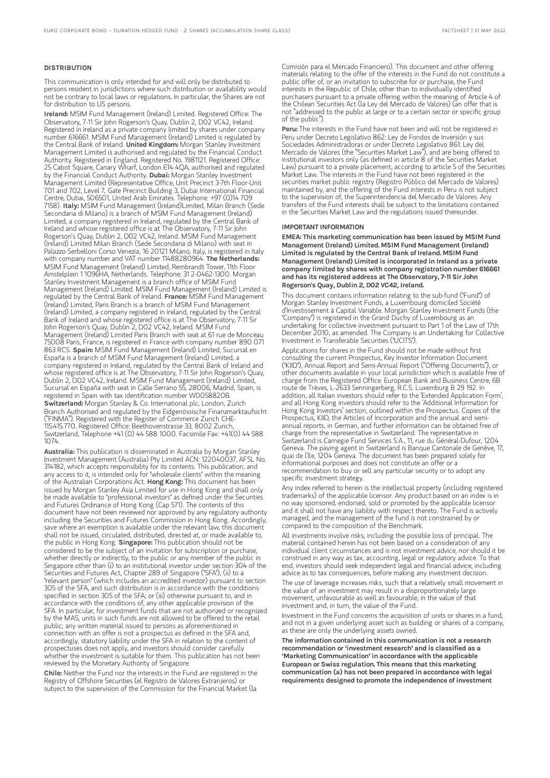#### **DISTRIBUTION**

This communication is only intended for and will only be distributed to persons resident in jurisdictions where such distribution or availability would not be contrary to local laws or regulations. In particular, the Shares are not for distribution to US persons.

Ireland: MSIM Fund Management (Ireland) Limited. Registered Office: The Observatory, 7-11 Sir John Rogerson's Quay, Dublin 2, D02 VC42, Ireland. Registered in Ireland as a private company limited by shares under company number 616661. MSIM Fund Management (Ireland) Limited is regulated by the Central Bank of Ireland. United Kingdom: Morgan Stanley Investment Management Limited is authorised and regulated by the Financial Conduct Authority. Registered in England. Registered No. 1981121. Registered Office: 25 Cabot Square, Canary Wharf, London E14 4QA, authorised and regulated by the Financial Conduct Authority. Dubai: Morgan Stanley Investment Management Limited (Representative Office, Unit Precinct 3-7th Floor-Unit 701 and 702, Level 7, Gate Precinct Building 3, Dubai International Financial Centre, Dubai, 506501, United Arab Emirates. Telephone: +97 (0)14 709<br>7158). I**taly:** MSIM Fund Management (Ireland)Limited, Milan Branch (Sede Secondaria di Milano) is a branch of MSIM Fund Management (Ireland) Limited, a company registered in Ireland, regulated by the Central Bank of Ireland and whose registered office is at The Observatory, 7-11 Sir John Rogerson's Quay, Dublin 2, D02 VC42, Ireland. MSIM Fund Management (Ireland) Limited Milan Branch (Sede Secondaria di Milano) with seat in Palazzo Serbelloni Corso Venezia, 16 20121 Milano, Italy, is registered in Italy with company number and VAT number 11488280964. The Netherlands: MSIM Fund Management (Ireland) Limited, Rembrandt Tower, 11th Floor Amstelplein 1 1096HA, Netherlands. Telephone: 31 2-0462-1300. Morgan Stanley Investment Management is a branch office of MSIM Fund Management (Ireland) Limited. MSIM Fund Management (Ireland) Limited is regulated by the Central Bank of Ireland. France: MSIM Fund Management (Ireland) Limited, Paris Branch is a branch of MSIM Fund Management (Ireland) Limited, a company registered in Ireland, regulated by the Central Bank of Ireland and whose registered office is at The Observatory, 7-11 Sir John Rogerson's Quay, Dublin 2, D02 VC42, Ireland. MSIM Fund Management (Ireland) Limited Paris Branch with seat at 61 rue de Monceau 75008 Paris, France, is registered in France with company number 890 071 863 RCS. Spain: MSIM Fund Management (Ireland) Limited, Sucursal en España is a branch of MSIM Fund Management (Ireland) Limited, a company registered in Ireland, regulated by the Central Bank of Ireland and whose registered office is at The Observatory, 7-11 Sir John Rogerson's Quay, Dublin 2, D02 VC42, Ireland. MSIM Fund Management (Ireland) Limited, Sucursal en España with seat in Calle Serrano 55, 28006, Madrid, Spain, is registered in Spain with tax identification number W0058820B. Switzerland: Morgan Stanley & Co. International plc, London, Zurich Branch Authorised and regulated by the Eidgenössische Finanzmarktaufsicht ("FINMA"). Registered with the Register of Commerce Zurich CHE-115.415.770. Registered Office: Beethovenstrasse 33, 8002 Zurich, Switzerland, Telephone +41 (0) 44 588 1000. Facsimile Fax: +41(0) 44 588 1074.

Australia: This publication is disseminated in Australia by Morgan Stanley Investment Management (Australia) Pty Limited ACN: 122040037, AFSL No. 314182, which accepts responsibility for its contents. This publication, and any access to it, is intended only for "wholesale clients" within the meaning of the Australian Corporations Act. Hong Kong: This document has been issued by Morgan Stanley Asia Limited for use in Hong Kong and shall only be made available to "professional investors" as defined under the Securities and Futures Ordinance of Hong Kong (Cap 571). The contents of this document have not been reviewed nor approved by any regulatory authority including the Securities and Futures Commission in Hong Kong. Accordingly, save where an exemption is available under the relevant law, this document shall not be issued, circulated, distributed, directed at, or made available to, the public in Hong Kong. Singapore: This publication should not be considered to be the subject of an invitation for subscription or purchase, whether directly or indirectly, to the public or any member of the public in Singapore other than (i) to an institutional investor under section 304 of the Securities and Futures Act, Chapter 289 of Singapore ("SFA"), (ii) to a "relevant person" (which includes an accredited investor) pursuant to section 305 of the SFA, and such distribution is in accordance with the conditions specified in section 305 of the SFA; or (iii) otherwise pursuant to, and in accordance with the conditions of, any other applicable provision of the SFA. In particular, for investment funds that are not authorized or recognized by the MAS, units in such funds are not allowed to be offered to the retail public; any written material issued to persons as aforementioned in connection with an offer is not a prospectus as defined in the SFA and, accordingly, statutory liability under the SFA in relation to the content of prospectuses does not apply, and investors should consider carefully whether the investment is suitable for them. This publication has not been reviewed by the Monetary Authority of Singapore.

Chile: Neither the Fund nor the interests in the Fund are registered in the Registry of Offshore Securities (el Registro de Valores Extranjeros) or subject to the supervision of the Commission for the Financial Market (la

Comisión para el Mercado Financiero). This document and other offering materials relating to the offer of the interests in the Fund do not constitute a public offer of, or an invitation to subscribe for or purchase, the Fund interests in the Republic of Chile, other than to individually identified purchasers pursuant to a private offering within the meaning of Article 4 of the Chilean Securities Act (la Ley del Mercado de Valores) (an offer that is not "addressed to the public at large or to a certain sector or specific group of the public").

Peru: The interests in the Fund have not been and will not be registered in Peru under Decreto Legislativo 862: Ley de Fondos de Inversión y sus Sociedades Administradoras or under Decreto Legislativo 861: Ley del Mercado de Valores (the "Securities Market Law"), and are being offered to institutional investors only (as defined in article 8 of the Securities Market Law) pursuant to a private placement, according to article 5 of the Securities Market Law. The interests in the Fund have not been registered in the securities market public registry (Registro Público del Mercado de Valores) maintained by, and the offering of the Fund interests in Peru is not subject to the supervision of, the Superintendencia del Mercado de Valores. Any transfers of the Fund interests shall be subject to the limitations contained in the Securities Market Law and the regulations issued thereunder.

#### IMPORTANT INFORMATION

EMEA: This marketing communication has been issued by MSIM Fund Management (Ireland) Limited. MSIM Fund Management (Ireland) Limited is regulated by the Central Bank of Ireland. MSIM Fund Management (Ireland) Limited is incorporated in Ireland as a private company limited by shares with company registration number 616661 and has its registered address at The Observatory, 7-11 Sir John Rogerson's Quay, Dublin 2, D02 VC42, Ireland.

This document contains information relating to the sub-fund ("Fund") of Morgan Stanley Investment Funds, a Luxembourg domiciled Société d'Investissement à Capital Variable. Morgan Stanley Investment Funds (the "Company") is registered in the Grand Duchy of Luxembourg as an undertaking for collective investment pursuant to Part 1 of the Law of 17th December 2010, as amended. The Company is an Undertaking for Collective Investment in Transferable Securities ("UCITS").

Applications for shares in the Fund should not be made without first consulting the current Prospectus, Key Investor Information Document ("KIID"), Annual Report and Semi-Annual Report ("Offering Documents"), or other documents available in your local jurisdiction which is available free of charge from the Registered Office: European Bank and Business Centre, 6B route de Trèves, L-2633 Senningerberg, R.C.S. Luxemburg B 29 192. In addition, all Italian investors should refer to the 'Extended Application Form', and all Hong Kong investors should refer to the 'Additional Information for Hong Kong Investors' section, outlined within the Prospectus. Copies of the Prospectus, KIID, the Articles of Incorporation and the annual and semiannual reports, in German, and further information can be obtained free of charge from the representative in Switzerland. The representative in Switzerland is Carnegie Fund Services S.A., 11, rue du Général-Dufour, 1204 Geneva. The paying agent in Switzerland is Banque Cantonale de Genève, 17, quai de l'Ile, 1204 Geneva. The document has been prepared solely for informational purposes and does not constitute an offer or a recommendation to buy or sell any particular security or to adopt any specific investment strategy.

Any index referred to herein is the intellectual property (including registered trademarks) of the applicable licensor. Any product based on an index is in no way sponsored, endorsed, sold or promoted by the applicable licensor and it shall not have any liability with respect thereto. The Fund is actively managed, and the management of the fund is not constrained by or compared to the composition of the Benchmark.

All investments involve risks, including the possible loss of principal. The material contained herein has not been based on a consideration of any individual client circumstances and is not investment advice, nor should it be construed in any way as tax, accounting, legal or regulatory advice. To that end, investors should seek independent legal and financial advice, including advice as to tax consequences, before making any investment decision.

The use of leverage increases risks, such that a relatively small movement in the value of an investment may result in a disproportionately large movement, unfavourable as well as favourable, in the value of that investment and, in turn, the value of the Fund.

Investment in the Fund concerns the acquisition of units or shares in a fund, and not in a given underlying asset such as building or shares of a company, as these are only the underlying assets owned.

The information contained in this communication is not a research recommendation or 'investment research' and is classified as a 'Marketing Communication' in accordance with the applicable European or Swiss regulation. This means that this marketing communication (a) has not been prepared in accordance with legal requirements designed to promote the independence of investment